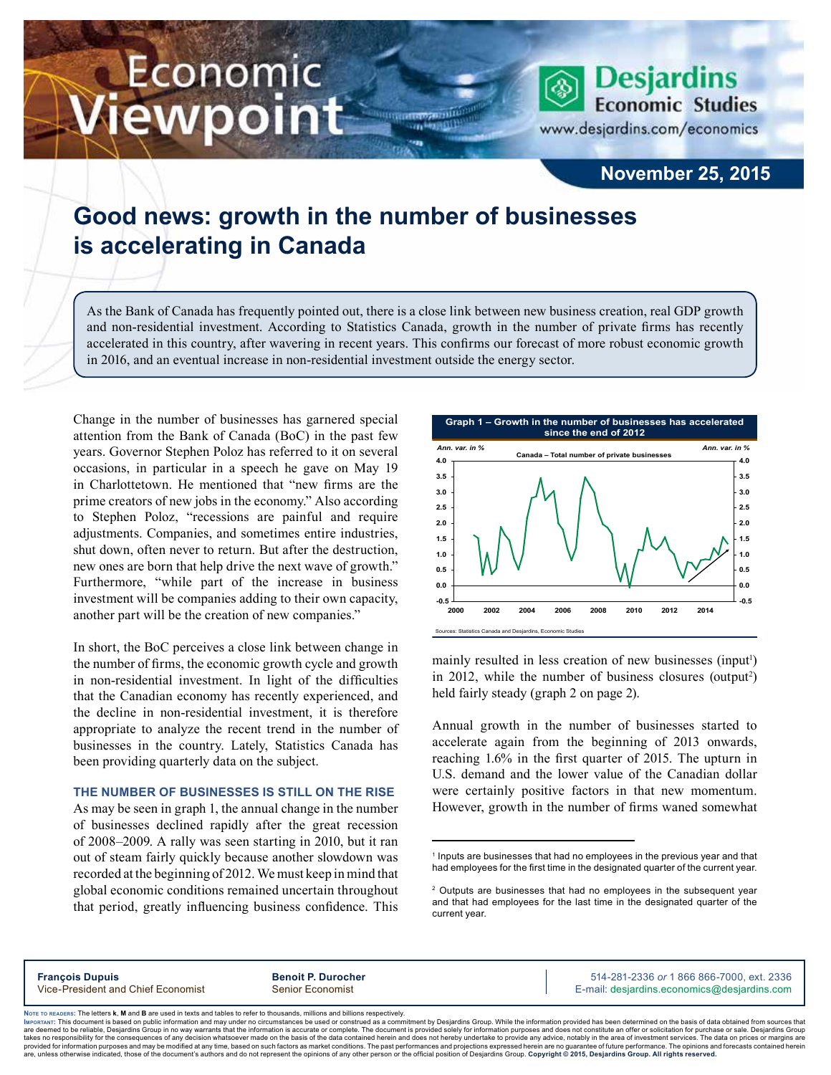# Economic iewpoint



## **November 25, 2015**

## **Good news: growth in the number of businesses is accelerating in Canada**

As the Bank of Canada has frequently pointed out, there is a close link between new business creation, real GDP growth and non-residential investment. According to Statistics Canada, growth in the number of private firms has recently accelerated in this country, after wavering in recent years. This confirms our forecast of more robust economic growth in 2016, and an eventual increase in non-residential investment outside the energy sector.

m

Change in the number of businesses has garnered special attention from the Bank of Canada (BoC) in the past few years. Governor Stephen Poloz has referred to it on several occasions, in particular in a speech he gave on May 19 in Charlottetown. He mentioned that "new firms are the prime creators of new jobs in the economy." Also according to Stephen Poloz, "recessions are painful and require adjustments. Companies, and sometimes entire industries, shut down, often never to return. But after the destruction, new ones are born that help drive the next wave of growth." Furthermore, "while part of the increase in business investment will be companies adding to their own capacity, another part will be the creation of new companies."

In short, the BoC perceives a close link between change in the number of firms, the economic growth cycle and growth in non-residential investment. In light of the difficulties that the Canadian economy has recently experienced, and the decline in non-residential investment, it is therefore appropriate to analyze the recent trend in the number of businesses in the country. Lately, Statistics Canada has been providing quarterly data on the subject.

### **The number of businesses is still on the rise**

As may be seen in graph 1, the annual change in the number of businesses declined rapidly after the great recession of 2008–2009. A rally was seen starting in 2010, but it ran out of steam fairly quickly because another slowdown was recorded at the beginning of 2012. We must keep in mind that global economic conditions remained uncertain throughout that period, greatly influencing business confidence. This



mainly resulted in less creation of new businesses (input<sup>1</sup>) in 2012, while the number of business closures (output<sup>2</sup>) held fairly steady (graph 2 on page 2).

Annual growth in the number of businesses started to accelerate again from the beginning of 2013 onwards, reaching 1.6% in the first quarter of 2015. The upturn in U.S. demand and the lower value of the Canadian dollar were certainly positive factors in that new momentum. However, growth in the number of firms waned somewhat

**François Dupuis Benoit P. Durocher** 514-281-2336 *or* 1 866 866-7000, ext. 2336 Vice-President and Chief Economist Senior Economist Senior Economist E-mail: desjardins.economics@desjardins.com

Noте то келоекs: The letters **k, M** and **B** are used in texts and tables to refer to thousands, millions and billions respectively.<br>Імроктлит: This document is based on public information and may under no circumstances be are deemed to be reliable. Desiardins Group in no way warrants that the information is accurate or complete. The document is provided solely for information purposes and does not constitute an offer or solicitation for pur takes no responsibility for the consequences of any decision whatsoever made on the basis of the data contained herein and does not hereby undertake to provide any advice, notably in the area of investment services. The da .<br>are, unless otherwise indicated, those of the document's authors and do not represent the opinions of any other person or the official position of Desjardins Group. Copyright @ 2015, Desjardins Group. All rights reserved

<sup>&</sup>lt;sup>1</sup> Inputs are businesses that had no employees in the previous year and that had employees for the first time in the designated quarter of the current year.

<sup>2</sup> Outputs are businesses that had no employees in the subsequent year and that had employees for the last time in the designated quarter of the current year.